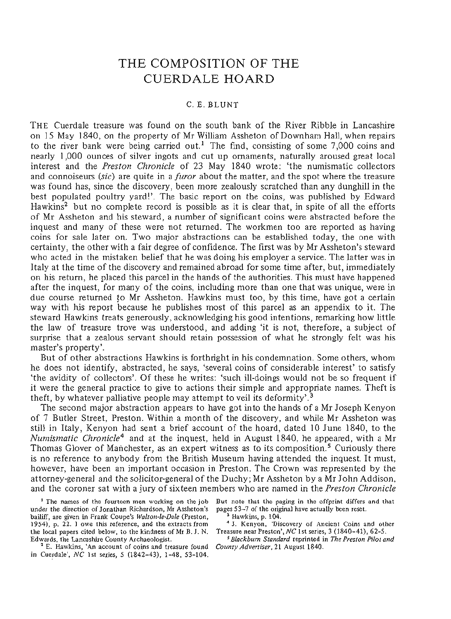# THE COMPOSITION OF THE CUERDALE HOARD

## C. E. BLUNT

THE Cuerdale treasure was found on the south bank of the River Ribble in Lancashire on 15 May 1840, on the property of Mr William Assheton of Downham Hall, when repairs to the river bank were being carried out.<sup>1</sup> The find, consisting of some 7,000 coins and nearly 1,000 ounces of silver ingots and cut up ornaments, naturally aroused great local interest and the *Preston Chronicle* of 23 May 1840 wrote: 'the numismatic collectors and connoiseurs *(sic)* are quite in a *furor* about the matter, and the spot where the treasure was found has, since the discovery, been more zealously scratched than any dunghill in the best populated poultry yard!'. The basic report on the coins, was published by Edward Hawkins2 but no complete record is possible as it is clear that, in spite of all the efforts of Mr Assheton and his steward, a number of significant coins were abstracted before the inquest and many of these were not returned. The workmen too are reported as having coins for sale later on. Two major abstractions can be established today, the one with certainty, the other with a fair degree of confidence. The first was by Mr Assheton's steward who acted in the mistaken belief that he was doing his employer a service. The latter was in Italy at the time of the discovery and remained abroad for some time after, but, immediately on his return, he placed this parcel in the hands of the authorities. This must have happened after the inquest, for many of the coins, including more than one that was unique, were in due course returned to Mr Assheton. Hawkins must too, by this time, have got a certain way with his report because he publishes most of this parcel as an appendix to it. The steward Hawkins treats generously, acknowledging his good intentions, remarking how little the law of treasure trove was understood, and adding 'it is not, therefore, a subject of surprise that a zealous servant should retain possession of what he strongly felt was his master's property'.

But of other abstractions Hawkins is forthright in his condemnation. Some others, whom he does not identify, abstracted, he says, 'several coins of considerable interest' to satisfy 'the avidity of collectors'. Of these he writes: 'such ill-doings would not be so frequent if it were the general practice to give to actions their simple and appropriate names. Theft is theft, by whatever palliative people may attempt to veil its deformity'.<sup>3</sup>

The second major abstraction appears to have got into the hands of a Mr Joseph Kenyon of 7 Butler Street, Preston. Within a month of the discovery, and while Mr Assheton was still in Italy, Kenyon had sent a brief account of the hoard, dated 10 June 1840, to the *Numismatic Chronicle*4 and at the inquest, held in August 1840, he appeared, with a Mr Thomas Glover of Manchester, as an expert witness as to its composition.<sup>5</sup> Curiously there is no reference to anybody from the British Museum having attended the inquest. It must, however, have been an important occasion in Preston. The Crown was represented by the attorney-general and the solicitor-general of the Duchy; Mr Assheton by a Mr John Addison, and the coroner sat with a jury of sixteen members who are named in the *Preston Chronicle* 

<sup>1</sup> The names of the fourteen men working on the job under the direction of Jonathan Richardson, Mr Assheton's pages 53-7 of the original have actually been reset, bailiff, are given in Frank Coupe's *Walton-le-Dale* (Preston, 1954), p. 22. I owe this reference, and the extracts from the local papers cited below, to the kindness of Mr B. J. N. Treasure near Preston', *NC* 1st series, 3 (1840-41), 62-5. Edwards, the Lancashire County Archaeologist.

<sup>2</sup> E. Hawkins, 'An account of coins and treasure found in Cuerdale', *NC* 1st series, 5 (1842-43), 1-48, 53-104.

But note that the paging in the offprint differs and that

3 Hawkins, p. 104.

<sup>4</sup> J. Kenyon, 'Discovery of Ancient Coins and other

<sup>5</sup> *Blackburn Standard* reprinted in *The Preston Pilot and* <sup>2</sup>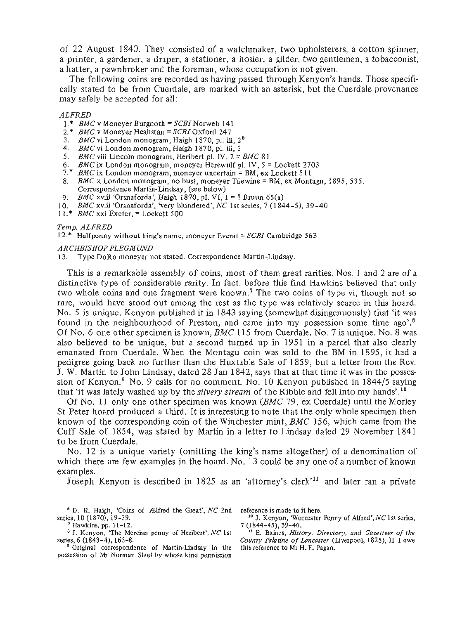of 22 August 1840. They consisted of a watchmaker, two upholsterers, a cotton spinner, a printer, a gardener, a draper, a stationer, a hosier, a gilder, two gentlemen, a tobacconist, a hatter, a pawnbroker and the foreman, whose occupation is not given.

The following coins are recorded as having passed through Kenyon's hands. Those specifically stated to be from Cuerdale, are marked with an asterisk, but the Cuerdale provenance may safely be accepted for all:

### *ALFRED*

- 1*.\* BMC* v Moneyer Burgnoth = *SCBI* Norweb 141
- 2.\* *BMC* v Moneyer Heahstan = *SCBI* Oxford 247
- 3. *BMC* vi London monogram, Haigh 1870, pi. iii, 2<sup>6</sup>
- 4. *BMC* vi London monogram, Haigh 1870, pi. iii, 3
- 5. *BMC* viii Lincoln monogram, Heribert pi. IV, 2 = *BMC* 81
- 6. *BMC* ix London monogram, moneyer Herewulf pi. IV, 5 = Lockett 2703
- 7.\* *BMC* ix London monogram, moneyer uncertain = BM, ex Lockett 511
- 8. *BMC* x London monogram, no bust, moneyer Tilewine = BM, ex Montagu, 1895, 535. Correspondence Martin-Lindsay, (see below)
- 9. *BMC* xviii 'Orsnaforda', Haigh 1870, pi. VI, 1 = ? Bruun 65(a)
- 10. *BMC* xviii 'Orsnaforda', 'very blundered', *NC* 1st series, 7 (1844-5), 39-40
- 11.\* *BMC* xxi Exeter, = Lockett 500

### *Temp. ALFRED*

12.\* Halfpenny without king's name, moneyer Everat = *SCBI* Cambridge 563

*ARCHBISHOP PLEGMUND*  13. Type DoRo moneyer not stated. Correspondence Martin-Lindsay.

This is a remarkable assembly of coins, most of them great rarities. Nos. 1 and 2 are of a distinctive type of considerable rarity. In fact, before this find Hawkins believed that only two whole coins and one fragment were known.<sup>7</sup> The two coins of type vi, though not so rare, would have stood out among the rest as the type was relatively scarce in this hoard. No. 5 is unique. Kenyon published it in 1843 saying (somewhat disingenuously) that 'it was found in the neighbourhood of Preston, and came into my possession some time ago'.<sup>8</sup> Of No. 6 one other specimen is known, *BMC* 115 from Cuerdale. No. 7 is unique. No. 8 was also believed to be unique, but a second turned up in 1951 in a parcel that also clearly emanated from Cuerdale. When the Montagu coin was sold to the BM in 1895, it had a pedigree going back no further than the Huxtable Sale of 1859, but a letter from the Rev. J. W. Martin to John Lindsay, dated 28 Jan 1842, says that at that time it was in the possession of Kenyon.<sup>9</sup> No. 9 calls for no comment. No. 10 Kenyon published in 1844/5 saying that 'it was lately washed up by the *silvery stream* of the Ribble and fell into my hands'.<sup>10</sup>

Of No. 11 only one other specimen was known (*BMC* 79, ex Cuerdale) until the Morley St Peter hoard produced a third. It is interesting to note that the only whole specimen then known of the corresponding coin of the Winchester mint, *BMC* 156, which came from the Cuff Sale of 1854, was stated by Martin in a letter to Lindsay dated 29 November 1841 to be from Cuerdale.

No. 12 is a unique variety (omitting the king's name altogether) of a denomination of which there are few examples in the hoard. No. 13 could be any one of a number of known examples.

Joseph Kenyon is described in 1825 as an 'attorney's clerk<sup>11</sup> and later ran a private

6 D. H. Haigh, 'Coins of Alfred the Great', *NC* 2nd series, 10 (1870), 19-39.<br><sup>7</sup> Haukins, pp. 11, 12.

<sup>7</sup> Hawkins, pp. 11–12.<br><sup>8</sup> J. Kenyon, *'*The Mercian penny of Heribert', *NC* 1st series, 6 (1843–4), 163–8.<br>2 Original - corresponder

 Original correspondence of Martin-Lindsay in the possession of Mr Norman Shiel by whose kind permission reference is made to it here.

 J. Kenyon, Worcester Penny of Alfred', *NC* 1st series, 7 (1844-45), 39-40. 11

 E. Baines, *History, Directory, and Gazetteer of the County Palatine of Lancaster* (Liverpool, 1825), II. I owe this reference to Mr H. E. Pagan.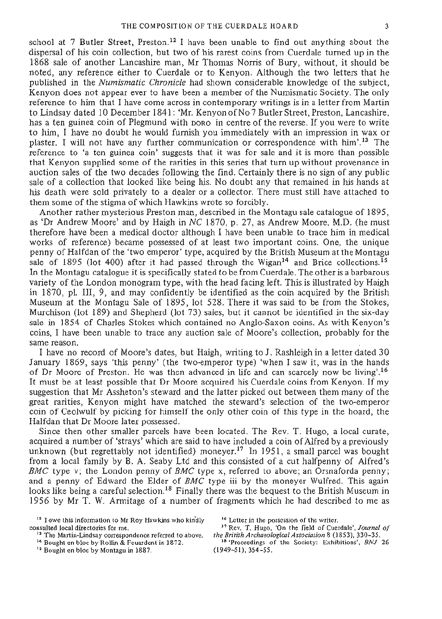school at 7 Butler Street, Preston.<sup>12</sup> I have been unable to find out anything about the dispersal of his coin collection, but two of his rarest coins from Cuerdale turned up in the 1868 sale of another Lancashire man, Mr Thomas Norris of Bury, without, it should be noted, any reference either to Cuerdale or to Kenyon. Although the two letters that he published in the *Numismatic Chronicle* had shown considerable knowledge of the subject, Kenyon does not appear ever to have been a member of the Numismatic Society. The only reference to him that I have come across in contemporary writings is in a letter from Martin to Lindsay dated 10 December 1841: 'Mr. Kenyon of No 7 Butler Street, Preston, Lancashire, has a ten guinea coin of Plegmund with boro in centre of the reverse. If you were to write to him, I have no doubt he would furnish you immediately with an impression in wax or plaster. I will not have any further communication or correspondence with him'.<sup>13</sup> The reference to 'a ten guinea coin' suggests that it was for sale and it is more than possible that Kenyon supplied some of the rarities in this series that turn up without provenance in auction sales of the two decades following the find. Certainly there is no sign of any public sale of a collection that looked like being his. No doubt any that remained in his hands at his death were sold privately to a dealer or a collector. There must still have attached to them some of the stigma of which Hawkins wrote so forcibly.

Another rather mysterious Preston man, described in the Montagu sale catalogue of 1895, as 'Dr Andrew Moore' and by Haigh in *NC* 1870, p. 27, as Andrew Moore, M.D. (he must therefore have been a medical doctor although I have been unable to trace him in medical works of reference) became possessed of at least two important coins. One, the unique penny of Halfdan of the 'two emperor' type, acquired by the British Museum at the Montagu sale of  $1895$  (lot 400) after it had passed through the Wigan<sup>14</sup> and Brice collections.<sup>15</sup> In the Montagu catalogue it is specifically stated to be from Cuerdale. The other is a barbarous variety of the London monogram type, with the head facing left. This is illustrated by Haigh in 1870, pi. Ill, 9, and may confidently be identified as the coin acquired by the British Museum at the Montagu Sale of 1895, lot 528. There it was said to be from the Stokes, Murchison (lot 189) and Shepherd (lot 73) sales, but it cannot be identified in the six-day sale in 1854 of Charles Stokes which contained no Anglo-Saxon coins. As with Kenyon's coins, I have been unable to trace any auction sale of Moore's collection, probably for the same reason.

I have no record of Moore's dates, but Haigh, writing to J. Rashleigh in a letter dated 30 January 1869, says 'this penny' (the two-emperor type) 'when I saw it, was in the hands of Dr Moore of Preston. He was then advanced in life and can scarcely now be living'.<sup>16</sup> It must be at least possible that Dr Moore acquired his Cuerdale coins from Kenyon. If my suggestion that Mr Assheton's steward and the latter picked out between them many of the great rarities, Kenyon might have matched the steward's selection of the two-emperor coin of Ceolwulf by picking for himself the only other coin of this type in the hoard, the Halfdan that Dr Moore later possessed.

Since then other smaller parcels have been located. The Rev. T. Hugo, a local curate, acquired a number of 'strays' which are said to have included a coin of Alfred by a previously unknown (but regrettably not identified) moneyer.<sup>17</sup> In 1951, a small parcel was bought from a local family by B. A. Seaby Ltd and this consisted of a cut halfpenny of Alfred's *BMC* type v; the London penny of *BMC* type x, referred to above; an Orsnaforda penny; and a penny of Edward the Elder of *BMC* type iii by the moneyer Wulfred. This again looks like being a careful selection.<sup>18</sup> Finally there was the bequest to the British Museum in 1956 by Mr T. W. Armitage of a number of fragments which he had described to me as

<sup>14</sup> Bought en bloc by Rollin & Feuardent in 1872.

 $12$  I owe this information to Mr Roy Hawkins who kindly  $16$  I consulted local directories for me. 1 7

<sup>&</sup>lt;sup>15</sup> Bought en bloc by Montagu in 1887.

<sup>&</sup>lt;sup>16</sup> Letter in the possession of the writer.

nsulted local directories for me.<br><sup>13</sup> Rev. T. Hugo, 'On the field of Cuerdale', *Journal of*<br><sup>13</sup> The Martin-Lindsay correspondence referred to above. *the British Archaeological Association* 8 (1853), 330–35. the British Archaeological Association 8 (1853), 330-35.

<sup>&</sup>lt;sup>18</sup> 'Proceedings of the Society: Exhibitions', *BNJ* 26 (1949-51), 354-55.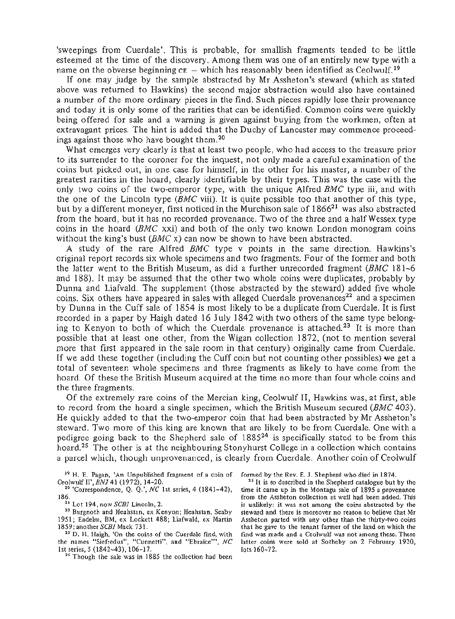'sweepings from Cuerdale'. This is probable, for smallish fragments tended to be little esteemed at the time of the discovery. Among them was one of an entirely new type with a name on the obverse beginning  $c\bar{\epsilon}$  — which has reasonably been identified as Ceolwulf.<sup>19</sup>

If one may judge by the sample abstracted by Mr Assheton's steward (which as stated above was returned to Hawkins) the second major abstraction would also have contained a number of the more ordinary pieces in the find. Such pieces rapidly lose their provenance and today it is only some of the rarities that can be identified. Common coins were quickly being offered for sale and a warning is given against buying from the workmen, often at extravagant prices. The hint is added that the Duchy of Lancaster may commence proceedings against those who have bought them.<sup>20</sup>

What emerges very clearly is that at least two people, who had access to the treasure prior to its surrender to the coroner for the inquest, not only made a careful examination of the coins but picked out, in one case for himself, in the other for his master, a number of the greatest rarities in the hoard, clearly identifiable by their types. This was the case with the only two coins of the two-emperor type, with the unique Alfred *BMC* type iii, and with the one of the Lincoln type *(BMC* viii). It is quite possible too that another of this type, but by a different moneyer, first noticed in the Murchison sale of  $1866^{21}$  was also abstracted from the hoard, but it has no recorded provenance. Two of the three and a half Wessex type coins in the hoard *(BMC* xxi) and both of the only two known London monogram coins without the king's bust *(BMC* x) can now be shown to have been abstracted.

A study of the rare Alfred *BMC* type v points in the same direction. Hawkins's original report records six whole specimens and two fragments. Four of the former and both the latter went to the British Museum, as did a further unrecorded fragment *(BMC* 181-6 and 188). It may be assumed that the other two whole coins were duplicates, probably by Dunna and Liafvald. The supplement (those abstracted by the steward) added five whole coins. Six others have appeared in sales with alleged Cuerdale provenances<sup>22</sup> and a specimen by Dunna in the Cuff sale of 1854 is most likely to be a duplicate from Cuerdale. It is first recorded in a paper by Haigh dated 16 July 1842 with two others of the same type belonging to Kenyon to both of which the Cuerdale provenance is attached.<sup>23</sup> It is more than possible that at least one other, from the Wigan collection 1872, (not to mention several more that first appeared in the sale room in that century) originally came from Cuerdale. If we add these together (including the Cuff coin but not counting other possibles) we get a total of seventeen whole specimens and three fragments as likely to have come from the hoard. Of these the British Museum acquired at the time no more than four whole coins and the three fragments.

Of the extremely rare coins of the Mercian king, Ceolwulf II, Hawkins was, at first, able to record from the hoard a single specimen, which the British Museum secured *(BMC* 403). He quickly added to that the two-emperor coin that had been abstracted by Mr Assheton's steward. Two more of this king are known that are likely to be from Cuerdale. One with a pedigree going back to the Shepherd sale of 1885<sup>24</sup> is specifically stated to be from this hoard.<sup>25</sup> The other is at the neighbouring Stonyhurst College in a collection which contains a parcel which, though unprovenanced, is clearly from Cuerdale. Another coin of Ceolwulf

- <sup>19</sup> H. E. Pagan, 'An Unpublished fragment of a coin of formed by the Rev. E. J. Shepherd who died in 1874.<br>clumbi <sup>19</sup> PML 41 (1973), 14.20 Ceolwulf II', BNJ 41 (1972), 14-20.
- 'Correspondence, Q. Q.', *NC* 1st series, 4 (1841-42),
- **186.**<br>
<sup>21</sup> Lot 194, now *SCBI* Lincoln, 2.<br>
<sup>22</sup> Pusanoth and Hashitan av Kan

<sup>22</sup> Burgnoth and Heahstan, ex Kenyon; Heahstan, Seaby 1951; Eadelm, BM, ex Lockett 488,; Liafwald, ex Martin 1859; another *SCBI* Mack 731.

 D. H. Haigh, 'On the coins of the Cuerdale find, with the names "Siefredus", "Cunnetti", and "Ebraice"', *NC*  1st series, 5 (1842~43), 106~17.<br><sup>24</sup> Though the sale was in 188

<sup>24</sup> Though the sale was in 1885 the collection had been

<sup>25</sup> It is so described in the Shepherd catalogue but by the time it came up in the Montagu sale of 1895 a provenance from the Assheton collection as well had been added. This is unlikely: it was not among the coins abstracted by the steward and there is moreover no reason to believe that Mr Assheton parted with any other than the thirty-two coins that he gave to the tenant farmer of the land on which the find was made and a Ceolwulf was not among these. These latter coins were sold at Sotheby on 2 February 1920, lots 160-72.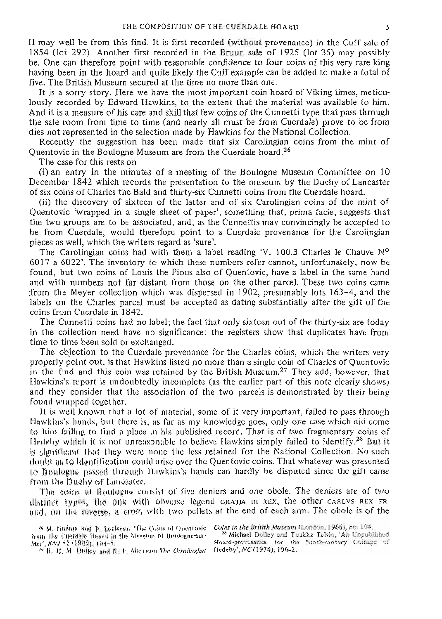II may well be from this find. It is first recorded (without provenance) in the Cuff sale of 1854 (lot 292). Another first recorded in the Braun sale of 1925 (lot 35) may possibly be. One can therefore point with reasonable confidence to four coins of this very rare king having been in the hoard and quite likely the Cuff example can be added to make a total of five. The British Museum secured at the time no more than one.

It is a sorry story. Here we have the most important coin hoard of Viking times, meticulously recorded by Edward Hawkins, to the extent that the material was available to him. And it is a measure of his care and skill that few coins of the Cunnetti type that pass through the sale room from time to time (and nearly all must be from Cuerdale) prove to be from dies not represented in the selection made by Hawkins for the National Collection,

Recently the suggestion has been made that six Carolingian coins from the mint of Quentovic in the Boulogne Museum are from the Cuerdale hoard.<sup>26</sup>

The case for this rests on

(i) an entry in the minutes of a meeting of the Boulogne Museum Committee on 10' December 1842 which records the presentation to the museum by the Duchy of Lancaster of six coins of Charles the Bald and thirty-six Cunnetti coins from the Cuerdale hoard.

(ii) the discovery of sixteen of the latter and of six Carolingian coins of the mint of Quentovic 'wrapped in a single sheet of paper', something that, prima facie, suggests that the two groups are to be associated, and, as the Cunnettis may convincingly be accepted to be from Cuerdale, would therefore point to a Cuerdale provenance for the Carolingian pieces as well, which the writers regard as 'sure'.

The Carolingian coins had with them a label reading 'V. 100.3 Charles le Chauve Nº 6017 a 6022'. The inventory to which these numbers refer cannot, unfortunately,, *now be*  found, but two coins of Louis the Pious also of Quentovic, have a label in the same hand and with numbers not far distant from those on the other parcel. These two coins came from the Meyer collection which was dispersed in 1902, presumably lots 163-4, and the labels on the Charles parcel must be accepted as dating substantially after the gift of the coins from Cuerdale in 1842.

The Cunnetti coins had no label; the fact that only sixteen out of the thirty-six are today in the collection need have no significance: the registers show that duplicates have from time to time been sold or exchanged.

The objection to the Cuerdale provenance for the Charles coins, which the writers very properly point out, is that Hawkins listed no more than a single coin of Charles of Quentovic in the find and this coin was retained by the British Museum.<sup>27</sup> They add, however, that Hawkins's report is undoubtedly incomplete (as the earlier part of this note clearly shows) and they consider that the association of the two parcels is demonstrated by their being found wrapped together.

It is well known that a lot of material, some of it very important, failed to pass through Hawkins's hands, but there is, as far as my knowledge goes, only one case which did come to him failing to find a place in his published record. That is of two fragmentary coins of Hedeby which it is not unreasonable to believe Hawkins simply failed to identify.<sup>28</sup> But it is significant that they were none the less retained for the National Collection. No such doubt as to identification could arise over the Quentovic coins. That whatever was presented to Boulogne passed through Hawkins's hands can hardly be disputed since the gift came from the Duchy of Lancaster,

The eeing at Boulogne consist of five deniers and one obole. The deniers are of two distinct types, the one with obverse legend gratia of rex, the other carlvs REX FR and, on the reverse, a cross with two pellets at the end of each arm. The obole is of the

<sup>&</sup>lt;sup>26</sup> M. Dhéain and p. Leclefeq, 'The Coins of Quentovic *Coins in the British Museum* (London, 1966), no. 104.<br>an the Cuerdale Huard in the Museum of Doulogne-sur- <sup>25</sup> Michael Dolley and Tuukks Talvio, 'An Unpublished from the Cuerdale Heard in the Museum of Boologne-sur-<br>Mer', *HNJ* 43 (1982), 104=7.<br>Hoard-provenance for the Ninth-century Coinage of

*M6?,BNJ* 11 (if 81). 164=?- Hoard-provenance for the Xmtb-centoiy Coinage of **<sup>M</sup>** R.- **if:** M. BefleV and K-. P. Mesisen *The Carolingkn* **Hedeby', A'C (1974), 190-2.**